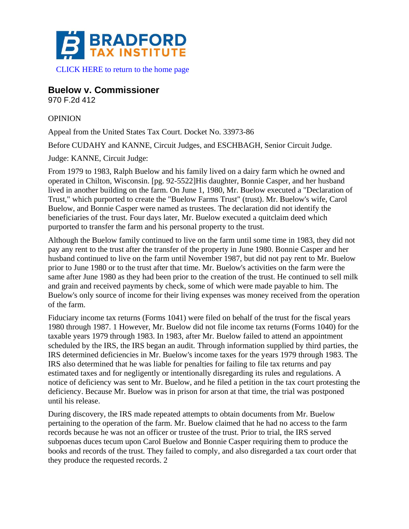

**Buelow v. Commissioner**

970 F.2d 412

## OPINION

Appeal from the United States Tax Court. Docket No. 33973-86

Before CUDAHY and KANNE, Circuit Judges, and ESCHBAGH, Senior Circuit Judge.

Judge: KANNE, Circuit Judge:

From 1979 to 1983, Ralph Buelow and his family lived on a dairy farm which he owned and operated in Chilton, Wisconsin. [pg. 92-5522]His daughter, Bonnie Casper, and her husband lived in another building on the farm. On June 1, 1980, Mr. Buelow executed a "Declaration of Trust," which purported to create the "Buelow Farms Trust" (trust). Mr. Buelow's wife, Carol Buelow, and Bonnie Casper were named as trustees. The declaration did not identify the beneficiaries of the trust. Four days later, Mr. Buelow executed a quitclaim deed which purported to transfer the farm and his personal property to the trust.

Although the Buelow family continued to live on the farm until some time in 1983, they did not pay any rent to the trust after the transfer of the property in June 1980. Bonnie Casper and her husband continued to live on the farm until November 1987, but did not pay rent to Mr. Buelow prior to June 1980 or to the trust after that time. Mr. Buelow's activities on the farm were the same after June 1980 as they had been prior to the creation of the trust. He continued to sell milk and grain and received payments by check, some of which were made payable to him. The Buelow's only source of income for their living expenses was money received from the operation of the farm.

Fiduciary income tax returns (Forms 1041) were filed on behalf of the trust for the fiscal years 1980 through 1987. 1 However, Mr. Buelow did not file income tax returns (Forms 1040) for the taxable years 1979 through 1983. In 1983, after Mr. Buelow failed to attend an appointment scheduled by the IRS, the IRS began an audit. Through information supplied by third parties, the IRS determined deficiencies in Mr. Buelow's income taxes for the years 1979 through 1983. The IRS also determined that he was liable for penalties for failing to file tax returns and pay estimated taxes and for negligently or intentionally disregarding its rules and regulations. A notice of deficiency was sent to Mr. Buelow, and he filed a petition in the tax court protesting the deficiency. Because Mr. Buelow was in prison for arson at that time, the trial was postponed until his release.

During discovery, the IRS made repeated attempts to obtain documents from Mr. Buelow pertaining to the operation of the farm. Mr. Buelow claimed that he had no access to the farm records because he was not an officer or trustee of the trust. Prior to trial, the IRS served subpoenas duces tecum upon Carol Buelow and Bonnie Casper requiring them to produce the books and records of the trust. They failed to comply, and also disregarded a tax court order that they produce the requested records. 2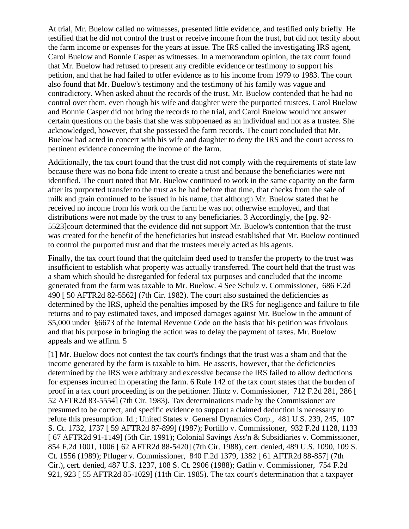At trial, Mr. Buelow called no witnesses, presented little evidence, and testified only briefly. He testified that he did not control the trust or receive income from the trust, but did not testify about the farm income or expenses for the years at issue. The IRS called the investigating IRS agent, Carol Buelow and Bonnie Casper as witnesses. In a memorandum opinion, the tax court found that Mr. Buelow had refused to present any credible evidence or testimony to support his petition, and that he had failed to offer evidence as to his income from 1979 to 1983. The court also found that Mr. Buelow's testimony and the testimony of his family was vague and contradictory. When asked about the records of the trust, Mr. Buelow contended that he had no control over them, even though his wife and daughter were the purported trustees. Carol Buelow and Bonnie Casper did not bring the records to the trial, and Carol Buelow would not answer certain questions on the basis that she was subpoenaed as an individual and not as a trustee. She acknowledged, however, that she possessed the farm records. The court concluded that Mr. Buelow had acted in concert with his wife and daughter to deny the IRS and the court access to pertinent evidence concerning the income of the farm.

Additionally, the tax court found that the trust did not comply with the requirements of state law because there was no bona fide intent to create a trust and because the beneficiaries were not identified. The court noted that Mr. Buelow continued to work in the same capacity on the farm after its purported transfer to the trust as he had before that time, that checks from the sale of milk and grain continued to be issued in his name, that although Mr. Buelow stated that he received no income from his work on the farm he was not otherwise employed, and that distributions were not made by the trust to any beneficiaries. 3 Accordingly, the [pg. 92- 5523]court determined that the evidence did not support Mr. Buelow's contention that the trust was created for the benefit of the beneficiaries but instead established that Mr. Buelow continued to control the purported trust and that the trustees merely acted as his agents.

Finally, the tax court found that the quitclaim deed used to transfer the property to the trust was insufficient to establish what property was actually transferred. The court held that the trust was a sham which should be disregarded for federal tax purposes and concluded that the income generated from the farm was taxable to Mr. Buelow. 4 See Schulz v. Commissioner, 686 F.2d 490 [ 50 AFTR2d 82-5562] (7th Cir. 1982). The court also sustained the deficiencies as determined by the IRS, upheld the penalties imposed by the IRS for negligence and failure to file returns and to pay estimated taxes, and imposed damages against Mr. Buelow in the amount of \$5,000 under §6673 of the Internal Revenue Code on the basis that his petition was frivolous and that his purpose in bringing the action was to delay the payment of taxes. Mr. Buelow appeals and we affirm. 5

[1] Mr. Buelow does not contest the tax court's findings that the trust was a sham and that the income generated by the farm is taxable to him. He asserts, however, that the deficiencies determined by the IRS were arbitrary and excessive because the IRS failed to allow deductions for expenses incurred in operating the farm. 6 Rule 142 of the tax court states that the burden of proof in a tax court proceeding is on the petitioner. Hintz v. Commissioner, 712 F.2d 281, 286 [ 52 AFTR2d 83-5554] (7th Cir. 1983). Tax determinations made by the Commissioner are presumed to be correct, and specific evidence to support a claimed deduction is necessary to refute this presumption. Id.; United States v. General Dynamics Corp., 481 U.S. 239, 245, 107 S. Ct. 1732, 1737 [ 59 AFTR2d 87-899] (1987); Portillo v. Commissioner, 932 F.2d 1128, 1133 [ 67 AFTR2d 91-1149] (5th Cir. 1991); Colonial Savings Ass'n & Subsidiaries v. Commissioner, 854 F.2d 1001, 1006 [ 62 AFTR2d 88-5420] (7th Cir. 1988), cert. denied, 489 U.S. 1090, 109 S. Ct. 1556 (1989); Pfluger v. Commissioner, 840 F.2d 1379, 1382 [ 61 AFTR2d 88-857] (7th Cir.), cert. denied, 487 U.S. 1237, 108 S. Ct. 2906 (1988); Gatlin v. Commissioner, 754 F.2d 921, 923 [ 55 AFTR2d 85-1029] (11th Cir. 1985). The tax court's determination that a taxpayer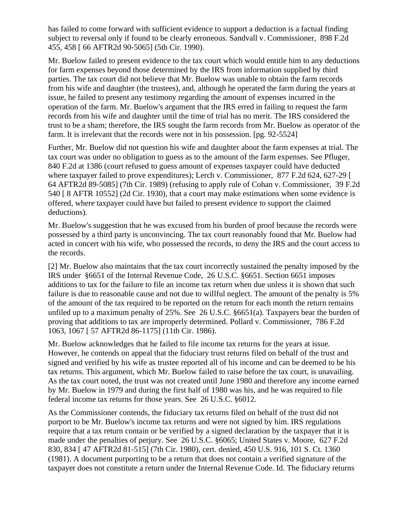has failed to come forward with sufficient evidence to support a deduction is a factual finding subject to reversal only if found to be clearly erroneous. Sandvall v. Commissioner, 898 F.2d 455, 458 [ 66 AFTR2d 90-5065] (5th Cir. 1990).

Mr. Buelow failed to present evidence to the tax court which would entitle him to any deductions for farm expenses beyond those determined by the IRS from information supplied by third parties. The tax court did not believe that Mr. Buelow was unable to obtain the farm records from his wife and daughter (the trustees), and, although he operated the farm during the years at issue, he failed to present any testimony regarding the amount of expenses incurred in the operation of the farm. Mr. Buelow's argument that the IRS erred in failing to request the farm records from his wife and daughter until the time of trial has no merit. The IRS considered the trust to be a sham; therefore, the IRS sought the farm records from Mr. Buelow as operator of the farm. It is irrelevant that the records were not in his possession. [pg. 92-5524]

Further, Mr. Buelow did not question his wife and daughter about the farm expenses at trial. The tax court was under no obligation to guess as to the amount of the farm expenses. See Pfluger, 840 F.2d at 1386 (court refused to guess amount of expenses taxpayer could have deducted where taxpayer failed to prove expenditures); Lerch v. Commissioner, 877 F.2d 624, 627-29 [ 64 AFTR2d 89-5085] (7th Cir. 1989) (refusing to apply rule of Cohan v. Commissioner, 39 F.2d 540 [ 8 AFTR 10552] (2d Cir. 1930), that a court may make estimations when some evidence is offered, where taxpayer could have but failed to present evidence to support the claimed deductions).

Mr. Buelow's suggestion that he was excused from his burden of proof because the records were possessed by a third party is unconvincing. The tax court reasonably found that Mr. Buelow had acted in concert with his wife, who possessed the records, to deny the IRS and the court access to the records.

[2] Mr. Buelow also maintains that the tax court incorrectly sustained the penalty imposed by the IRS under §6651 of the Internal Revenue Code, 26 U.S.C. §6651. Section 6651 imposes additions to tax for the failure to file an income tax return when due unless it is shown that such failure is due to reasonable cause and not due to willful neglect. The amount of the penalty is 5% of the amount of the tax required to be reported on the return for each month the return remains unfiled up to a maximum penalty of 25%. See 26 U.S.C. §6651(a). Taxpayers bear the burden of proving that additions to tax are improperly determined. Pollard v. Commissioner, 786 F.2d 1063, 1067 [ 57 AFTR2d 86-1175] (11th Cir. 1986).

Mr. Buelow acknowledges that he failed to file income tax returns for the years at issue. However, he contends on appeal that the fiduciary trust returns filed on behalf of the trust and signed and verified by his wife as trustee reported all of his income and can be deemed to be his tax returns. This argument, which Mr. Buelow failed to raise before the tax court, is unavailing. As the tax court noted, the trust was not created until June 1980 and therefore any income earned by Mr. Buelow in 1979 and during the first half of 1980 was his, and he was required to file federal income tax returns for those years. See 26 U.S.C. §6012.

As the Commissioner contends, the fiduciary tax returns filed on behalf of the trust did not purport to be Mr. Buelow's income tax returns and were not signed by him. IRS regulations require that a tax return contain or be verified by a signed declaration by the taxpayer that it is made under the penalties of perjury. See 26 U.S.C. §6065; United States v. Moore, 627 F.2d 830, 834 [ 47 AFTR2d 81-515] (7th Cir. 1980), cert. denied, 450 U.S. 916, 101 S. Ct. 1360 (1981). A document purporting to be a return that does not contain a verified signature of the taxpayer does not constitute a return under the Internal Revenue Code. Id. The fiduciary returns